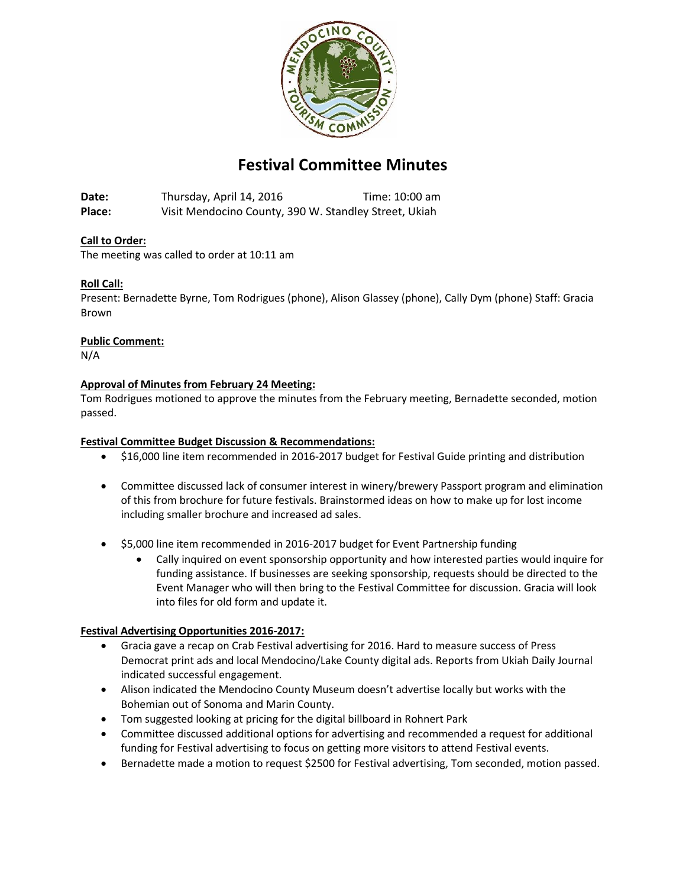

# **Festival Committee Minutes**

**Date:** Thursday, April 14, 2016 Time: 10:00 am **Place:** Visit Mendocino County, 390 W. Standley Street, Ukiah

# **Call to Order:**

The meeting was called to order at 10:11 am

# **Roll Call:**

Present: Bernadette Byrne, Tom Rodrigues (phone), Alison Glassey (phone), Cally Dym (phone) Staff: Gracia Brown

#### **Public Comment:**

N/A

#### **Approval of Minutes from February 24 Meeting:**

Tom Rodrigues motioned to approve the minutes from the February meeting, Bernadette seconded, motion passed.

#### **Festival Committee Budget Discussion & Recommendations:**

- \$16,000 line item recommended in 2016-2017 budget for Festival Guide printing and distribution
- Committee discussed lack of consumer interest in winery/brewery Passport program and elimination of this from brochure for future festivals. Brainstormed ideas on how to make up for lost income including smaller brochure and increased ad sales.
- \$5,000 line item recommended in 2016-2017 budget for Event Partnership funding
	- Cally inquired on event sponsorship opportunity and how interested parties would inquire for funding assistance. If businesses are seeking sponsorship, requests should be directed to the Event Manager who will then bring to the Festival Committee for discussion. Gracia will look into files for old form and update it.

#### **Festival Advertising Opportunities 2016-2017:**

- Gracia gave a recap on Crab Festival advertising for 2016. Hard to measure success of Press Democrat print ads and local Mendocino/Lake County digital ads. Reports from Ukiah Daily Journal indicated successful engagement.
- Alison indicated the Mendocino County Museum doesn't advertise locally but works with the Bohemian out of Sonoma and Marin County.
- Tom suggested looking at pricing for the digital billboard in Rohnert Park
- Committee discussed additional options for advertising and recommended a request for additional funding for Festival advertising to focus on getting more visitors to attend Festival events.
- Bernadette made a motion to request \$2500 for Festival advertising, Tom seconded, motion passed.